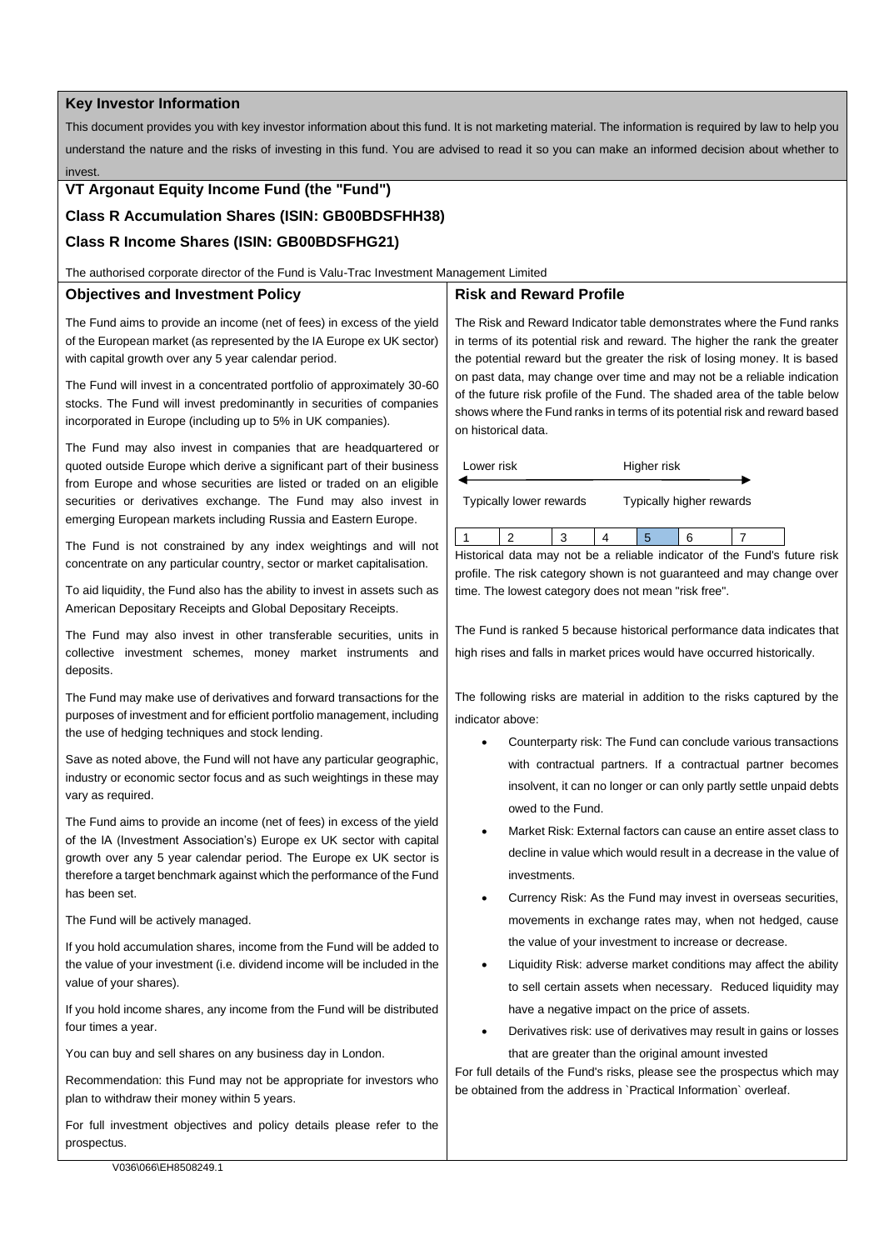### **Key Investor Information**

This document provides you with key investor information about this fund. It is not marketing material. The information is required by law to help you understand the nature and the risks of investing in this fund. You are advised to read it so you can make an informed decision about whether to invest.

# **VT Argonaut Equity Income Fund (the "Fund")**

# **Class R Accumulation Shares (ISIN: GB00BDSFHH38)**

# **Class R Income Shares (ISIN: GB00BDSFHG21)**

The authorised corporate director of the Fund is Valu-Trac Investment Management Limited

### **Objectives and Investment Policy**

The Fund aims to provide an income (net of fees) in excess of the yield of the European market (as represented by the IA Europe ex UK sector) with capital growth over any 5 year calendar period.

The Fund will invest in a concentrated portfolio of approximately 30-60 stocks. The Fund will invest predominantly in securities of companies incorporated in Europe (including up to 5% in UK companies).

The Fund may also invest in companies that are headquartered or quoted outside Europe which derive a significant part of their business from Europe and whose securities are listed or traded on an eligible securities or derivatives exchange. The Fund may also invest in emerging European markets including Russia and Eastern Europe.

The Fund is not constrained by any index weightings and will not concentrate on any particular country, sector or market capitalisation.

To aid liquidity, the Fund also has the ability to invest in assets such as American Depositary Receipts and Global Depositary Receipts.

The Fund may also invest in other transferable securities, units in collective investment schemes, money market instruments and deposits.

The Fund may make use of derivatives and forward transactions for the purposes of investment and for efficient portfolio management, including the use of hedging techniques and stock lending.

Save as noted above, the Fund will not have any particular geographic. industry or economic sector focus and as such weightings in these may vary as required.

The Fund aims to provide an income (net of fees) in excess of the yield of the IA (Investment Association's) Europe ex UK sector with capital growth over any 5 year calendar period. The Europe ex UK sector is therefore a target benchmark against which the performance of the Fund has been set.

The Fund will be actively managed.

If you hold accumulation shares, income from the Fund will be added to the value of your investment (i.e. dividend income will be included in the value of your shares).

If you hold income shares, any income from the Fund will be distributed four times a year.

You can buy and sell shares on any business day in London.

Recommendation: this Fund may not be appropriate for investors who plan to withdraw their money within 5 years.

For full investment objectives and policy details please refer to the prospectus.

# **Risk and Reward Profile**

The Risk and Reward Indicator table demonstrates where the Fund ranks in terms of its potential risk and reward. The higher the rank the greater the potential reward but the greater the risk of losing money. It is based on past data, may change over time and may not be a reliable indication of the future risk profile of the Fund. The shaded area of the table below shows where the Fund ranks in terms of its potential risk and reward based on historical data.

| Lower risk              |  |  |  | Higher risk              |  |  |  |
|-------------------------|--|--|--|--------------------------|--|--|--|
| Typically lower rewards |  |  |  | Typically higher rewards |  |  |  |
|                         |  |  |  |                          |  |  |  |

Historical data may not be a reliable indicator of the Fund's future risk profile. The risk category shown is not guaranteed and may change over time. The lowest category does not mean "risk free".

The Fund is ranked 5 because historical performance data indicates that high rises and falls in market prices would have occurred historically.

The following risks are material in addition to the risks captured by the indicator above:

- Counterparty risk: The Fund can conclude various transactions with contractual partners. If a contractual partner becomes insolvent, it can no longer or can only partly settle unpaid debts owed to the Fund.
- Market Risk: External factors can cause an entire asset class to decline in value which would result in a decrease in the value of investments.
- Currency Risk: As the Fund may invest in overseas securities, movements in exchange rates may, when not hedged, cause the value of your investment to increase or decrease.
- Liquidity Risk: adverse market conditions may affect the ability to sell certain assets when necessary. Reduced liquidity may have a negative impact on the price of assets.
- Derivatives risk: use of derivatives may result in gains or losses that are greater than the original amount invested

For full details of the Fund's risks, please see the prospectus which may be obtained from the address in `Practical Information` overleaf.

V036\066\EH8508249.1